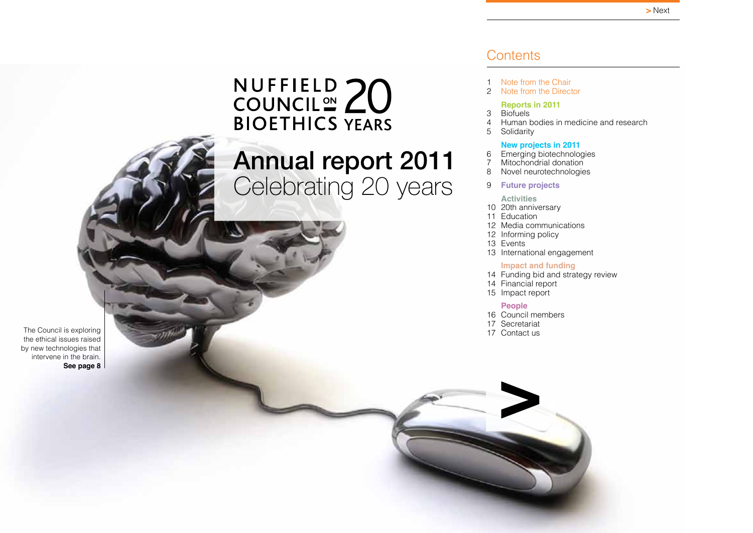# <span id="page-0-0"></span>NUFFIELD 20 **BIOETHICS YEARS**

# Annual report 2011 Celebrating 20 years

The Council is exploring the ethical issues raised by new technologies that intervene in the brain. **See page 8**

### **Contents**

- 1 Note from the Chair<br>2 Note from the Direct
- [Note from the Director](#page-2-0)

### **[Reports in 2011](#page-3-0)**

- [3 Biofuels](#page-3-0)<br>4 Human b
- 4 [Human bodies in medicine and research](#page-4-0)<br>5 Solidarity
	- **[Solidarity](#page-5-0)**

### **[New projects in 2011](#page-6-0)**

- [6 Emerging biotechnologies](#page-6-0)
- 7 [Mitochondrial donation](#page-7-0)<br>8 Novel neurotechnologie
- [Novel neurotechnologies](#page-8-0)
- 9 **[Future projects](#page-9-0)**

### **[Activities](#page-10-0)**

- 10 [20th anniversary](#page-10-0)
- 11 [Education](#page-11-0)
- 12 [Media communications](#page-12-0)
- 12 [Informing policy](#page-12-0)
- 13 [Events](#page-13-0)
- 13 [International engagement](#page-13-0)

### **[Impact and funding](#page-14-0)**

- 14 [Funding bid and strategy review](#page-14-0)
- 14 [Financial report](#page-14-0)
- 15 [Impact report](#page-15-0)

### **[People](#page-16-0)**

- 16 [Council members](#page-16-0)
- 17 [Secretariat](#page-17-0)

**>**

17 [Contact us](#page-17-0)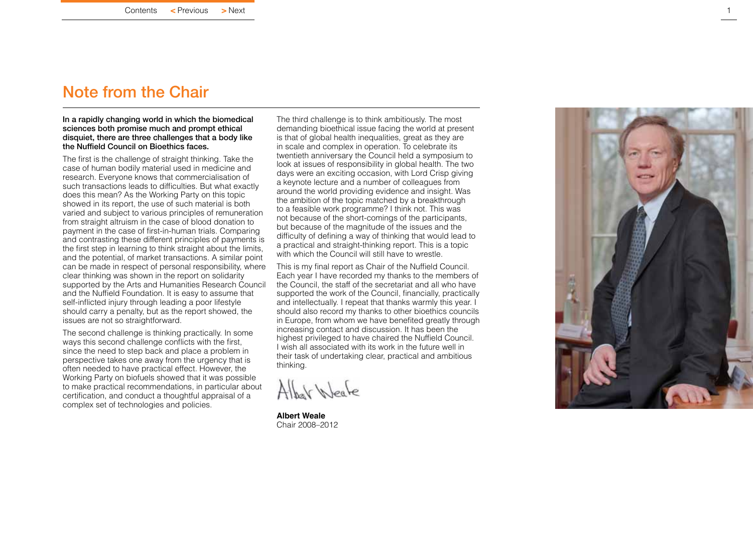### <span id="page-1-0"></span>Note from the Chair

#### In a rapidly changing world in which the biomedical sciences both promise much and prompt ethical disquiet, there are three challenges that a body like the Nuffield Council on Bioethics faces.

The first is the challenge of straight thinking. Take the case of human bodily material used in medicine and research. Everyone knows that commercialisation of such transactions leads to difficulties. But what exactly does this mean? As the [Working Party on this topic](#page-5-0) showed in its report, the use of such material is both varied and subject to various principles of remuneration from straight altruism in the case of blood donation to payment in the case of first-in-human trials. Comparing and contrasting these different principles of payments is the first step in learning to think straight about the limits, and the potential, of market transactions. A similar point can be made in respect of personal responsibility, where clear thinking was shown in the [report on solidarity](#page-6-0)  supported by the Arts and Humanities Research Council and the Nuffield Foundation. It is easy to assume that self-inflicted injury through leading a poor lifestyle should carry a penalty, but as the report showed, the issues are not so straightforward.

The second challenge is thinking practically. In some ways this second challenge conflicts with the first, since the need to step back and place a problem in perspective takes one away from the urgency that is often needed to have practical effect. However, the Working Party on biofuels showed that it was possible to make practical recommendations, in particular about certification, and conduct a thoughtful appraisal of a complex set of technologies and policies.

The third challenge is to think ambitiously. The most demanding bioethical issue facing the world at present is that of global health inequalities, great as they are in scale and complex in operation. To celebrate its twentieth anniversary the Council held a [symposium](#page-11-0) to look at issues of responsibility in global health. The two days were an exciting occasion, with Lord Crisp giving a keynote lecture and a number of colleagues from around the world providing evidence and insight. Was the ambition of the topic matched by a breakthrough to a feasible work programme? I think not. This was not because of the short-comings of the participants, but because of the magnitude of the issues and the difficulty of defining a way of thinking that would lead to a practical and straight-thinking report. This is a topic with which the Council will still have to wrestle.

This is my final report as Chair of the Nuffield Council. Each year I have recorded my thanks to the members of the Council, the staff of the secretariat and all who have supported the work of the Council, financially, practically and intellectually. I repeat that thanks warmly this year. I should also record my thanks to other bioethics councils in Europe, from whom we have benefited greatly through increasing contact and discussion. It has been the highest privileged to have chaired the Nuffield Council. I wish all associated with its work in the future well in their task of undertaking clear, practical and ambitious thinking.

Albat Weate

**Albert Weale** Chair 2008–2012

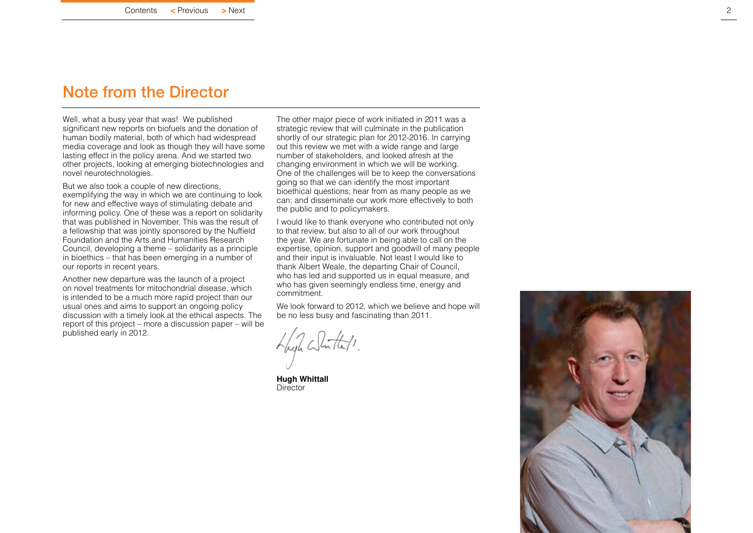### <span id="page-2-0"></span>Note from the Director

Well, what a busy year that was! We published significant new reports on biofuels and the donation of human bodily material, both of which had widespread media coverage and look as though they will have some lasting effect in the policy arena. And we started two other projects, looking at emerging biotechnologies and novel neurotechnologies.

But we also took a couple of new directions, exemplifying the way in which we are continuing to look for new and effective ways of stimulating debate and informing policy. One of these was a report on solidarity that was published in November. This was the result of a fellowship that was jointly sponsored by the Nuffield Foundation and the Arts and Humanities Research Council, developing a theme – solidarity as a principle in bioethics – that has been emerging in a number of our reports in recent years.

Another new departure was the launch of a project on novel treatments for mitochondrial disease, which is intended to be a much more rapid project than our usual ones and aims to support an ongoing policy discussion with a timely look at the ethical aspects. The report of this project – more a discussion paper – will be published early in 2012.

The other major piece of work initiated in 2011 was a strategic review that will culminate in the publication shortly of our strategic plan for 2012-2016. In carrying out this review we met with a wide range and large number of stakeholders, and looked afresh at the changing environment in which we will be working. One of the challenges will be to keep the conversations going so that we can identify the most important bioethical questions; hear from as many people as we can; and disseminate our work more effectively to both the public and to policymakers.

I would like to thank everyone who contributed not only to that review, but also to all of our work throughout the year. We are fortunate in being able to call on the expertise, opinion, support and goodwill of many people and their input is invaluable. Not least I would like to thank Albert Weale, the departing Chair of Council, who has led and supported us in equal measure, and who has given seemingly endless time, energy and commitment.

We look forward to 2012, which we believe and hope will be no less busy and fascinating than 2011.

With Whitels.

**Hugh Whittall Director** 

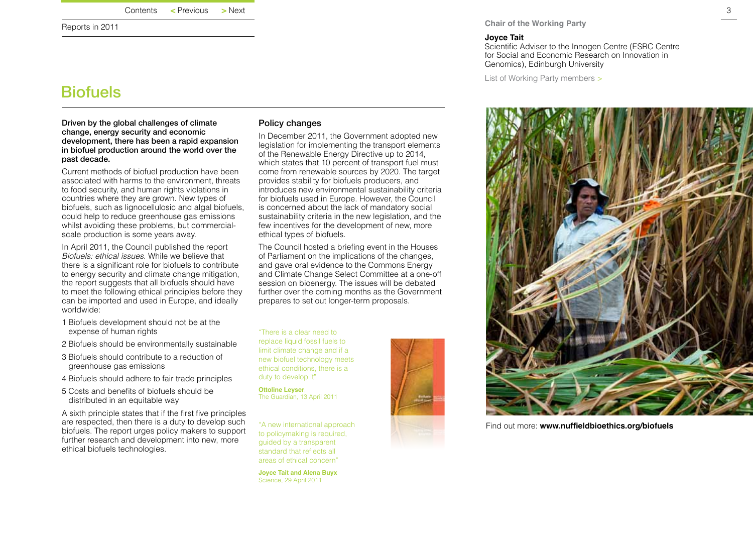<span id="page-3-0"></span>Reports in 2011

### **Biofuels**

Driven by the global challenges of climate change, energy security and economic development, there has been a rapid expansion in biofuel production around the world over the past decade.

Current methods of biofuel production have been associated with harms to the environment, threats to food security, and human rights violations in countries where they are grown. New types of biofuels, such as lignocellulosic and algal biofuels. could help to reduce greenhouse gas emissions whilst avoiding these problems, but commercialscale production is some years away.

In April 2011, the Council published the report *Biofuels: ethical issues*. While we believe that there is a significant role for biofuels to contribute to energy security and climate change mitigation, the report suggests that all biofuels should have to meet the following ethical principles before they can be imported and used in Europe, and ideally worldwide:

- 1 Biofuels development should not be at the expense of human rights
- 2 Biofuels should be environmentally sustainable
- 3 Biofuels should contribute to a reduction of greenhouse gas emissions
- 4 Biofuels should adhere to fair trade principles
- 5 Costs and benefits of biofuels should be distributed in an equitable way

A sixth principle states that if the first five principles are respected, then there is a duty to develop such biofuels. The report urges policy makers to support further research and development into new, more ethical biofuels technologies.

### Policy changes

In December 2011, the Government adopted new legislation for implementing the transport elements of the Renewable Energy Directive up to 2014, which states that 10 percent of transport fuel must come from renewable sources by 2020. The target provides stability for biofuels producers, and introduces new environmental sustainability criteria for biofuels used in Europe. However, the Council is concerned about the lack of mandatory social sustainability criteria in the new legislation, and the few incentives for the development of new, more ethical types of biofuels.

The Council hosted a briefing event in the Houses of Parliament on the implications of the changes, and gave oral evidence to the Commons Energy and Climate Change Select Committee at a one-off session on bioenergy. The issues will be debated further over the coming months as the Government prepares to set out longer-term proposals.

"There is a clear need to replace liquid fossil fuels to limit climate change and if a new biofuel technology meets ethical conditions, there is a duty to develop it"

**Ottoline Leyser**, The Guardian, 13 April 2011

"A new international approach to policymaking is required, guided by a transparent standard that reflects all areas of ethical concern"

**Joyce Tait and Alena Buyx** Science, 29 April 2011



**Chair of the Working Party**

### **Joyce Tait**

Scientific Adviser to the Innogen Centre (ESRC Centre for Social and Economic Research on Innovation in Genomics), Edinburgh University

[List of Working Party members](http://www.nuffieldbioethics.org/biofuels/biofuels-about-working-party-0) >



Find out more: **[www.nuffieldbioethics.org/biofuels](http://www.nuffieldbioethics.org/biofuels )**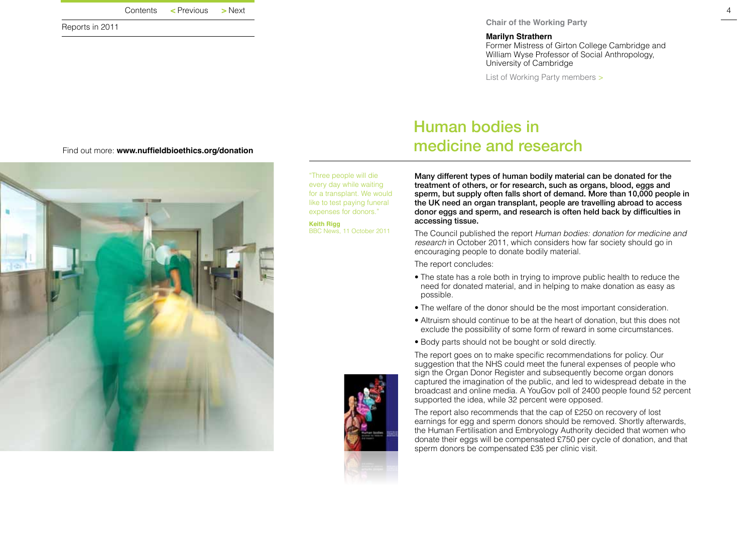| Contents | $\leq$ Previous | $>$ Next |
|----------|-----------------|----------|
|          |                 |          |

<span id="page-4-0"></span>Reports in 2011

#### **Marilyn Strathern**

Former Mistress of Girton College Cambridge and William Wyse Professor of Social Anthropology, University of Cambridge

[List of Working Party members](http://www.nuffieldbioethics.org/donation/donation-about-working-party-0) >



"Three people will die every day while waiting for a transplant. We would like to test paying funeral expenses for donors."

**Keith Rigg** BBC News, 11 October 2011 Many different types of human bodily material can be donated for the treatment of others, or for research, such as organs, blood, eggs and sperm, but supply often falls short of demand. More than 10,000 people in the UK need an organ transplant, people are travelling abroad to access donor eggs and sperm, and research is often held back by difficulties in accessing tissue.

The Council published the report *Human bodies: donation for medicine and research* in October 2011, which considers how far society should go in encouraging people to donate bodily material.

The report concludes:

Human bodies in

medicine and research

- The state has a role both in trying to improve public health to reduce the need for donated material, and in helping to make donation as easy as possible.
- The welfare of the donor should be the most important consideration.
- Altruism should continue to be at the heart of donation, but this does not exclude the possibility of some form of reward in some circumstances.
- Body parts should not be bought or sold directly.

The report goes on to make specific recommendations for policy. Our suggestion that the NHS could meet the funeral expenses of people who sign the Organ Donor Register and subsequently become organ donors captured the imagination of the public, and led to widespread debate in the broadcast and online media. A YouGov poll of 2400 people found 52 percent supported the idea, while 32 percent were opposed.

The report also recommends that the cap of £250 on recovery of lost earnings for egg and sperm donors should be removed. Shortly afterwards, the Human Fertilisation and Embryology Authority decided that women who donate their eggs will be compensated £750 per cycle of donation, and that sperm donors be compensated £35 per clinic visit.

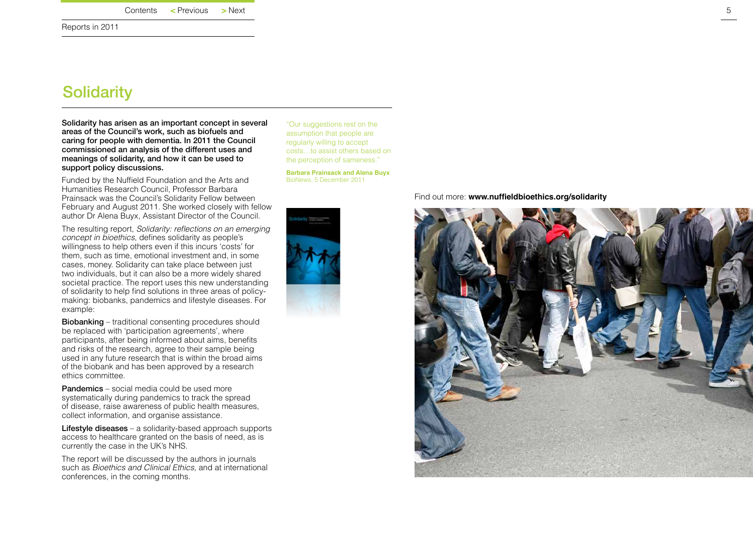<span id="page-5-0"></span>Reports in 2011

### **Solidarity**

Solidarity has arisen as an important concept in several areas of the Council's work, such as biofuels and caring for people with dementia. In 2011 the Council commissioned an analysis of the different uses and meanings of solidarity, and how it can be used to support policy discussions.

Funded by the Nuffield Foundation and the Arts and Humanities Research Council, Professor Barbara Prainsack was the Council's Solidarity Fellow between February and August 2011. She worked closely with fellow author Dr Alena Buyx, Assistant Director of the Council.

The resulting report, Solidarity: reflections *on an emerging concept in bioethics*, defines solidarity as people's willingness to help others even if this incurs 'costs' for them, such as time, emotional investment and, in some cases, money. Solidarity can take place between just two individuals, but it can also be a more widely shared societal practice. The report uses this new understanding of solidarity to help find solutions in three areas of policymaking: biobanks, pandemics and lifestyle diseases. For example:

Biobanking – traditional consenting procedures should be replaced with 'participation agreements', where participants, after being informed about aims, benefits and risks of the research, agree to their sample being used in any future research that is within the broad aims of the biobank and has been approved by a research ethics committee.

Pandemics – social media could be used more systematically during pandemics to track the spread of disease, raise awareness of public health measures, collect information, and organise assistance.

Lifestyle diseases – a solidarity-based approach supports access to healthcare granted on the basis of need, as is currently the case in the UK's NHS.

The report will be discussed by the authors in journals such as *Bioethics and Clinical Ethics*, and at international conferences, in the coming months.

"Our suggestions rest on the assumption that people are regularly willing to accept costs…to assist others based on the perception of sameness."

**Barbara Prainsack and Alena Buyx** BioNews, 5 December 2011



Find out more: **[www.nuffieldbioethics.org/solidarity](http://www.nuffieldbioethics.org/solidarity )** 

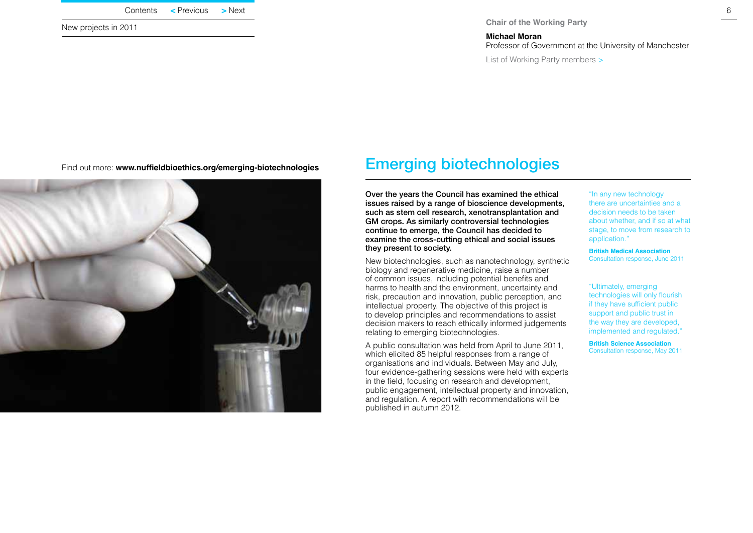| $>$ Next<br>$\leq$ Previous |
|-----------------------------|
|                             |

<span id="page-6-0"></span>New projects in 2011

#### **Chair of the Working Party**

**Michael Moran** Professor of Government at the University of Manchester

[List of Working Party members](http://www.nuffieldbioethics.org/emerging-biotechnologies/emerging-biotechnologies-about-working-party) >

Find out more: **[www.nuffieldbioethics.org/emerging-biotechnologies](http://www.nuffieldbioethics.org/emerging-biotechnologies)** 

## Emerging biotechnologies

Over the years the Council has examined the ethical issues raised by a range of bioscience developments, such as stem cell research, xenotransplantation and GM crops. As similarly controversial technologies continue to emerge, the Council has decided to examine the cross-cutting ethical and social issues they present to society.

New biotechnologies, such as nanotechnology, synthetic biology and regenerative medicine, raise a number of common issues, including potential benefits and harms to health and the environment, uncertainty and risk, precaution and innovation, public perception, and intellectual property. The objective of this project is to develop principles and recommendations to assist decision makers to reach ethically informed judgements relating to emerging biotechnologies.

A public consultation was held from April to June 2011, which elicited 85 helpful responses from a range of organisations and individuals. Between May and July, four evidence-gathering sessions were held with experts in the field, focusing on research and development, public engagement, intellectual property and innovation, and regulation. A report with recommendations will be published in autumn 2012.

"In any new technology there are uncertainties and a decision needs to be taken about whether, and if so at what stage, to move from research to application."

**British Medical Association** Consultation response, June 2011

"Ultimately, emerging technologies will only flourish if they have sufficient public support and public trust in the way they are developed, implemented and regulated."

**British Science Association** Consultation response, May 2011

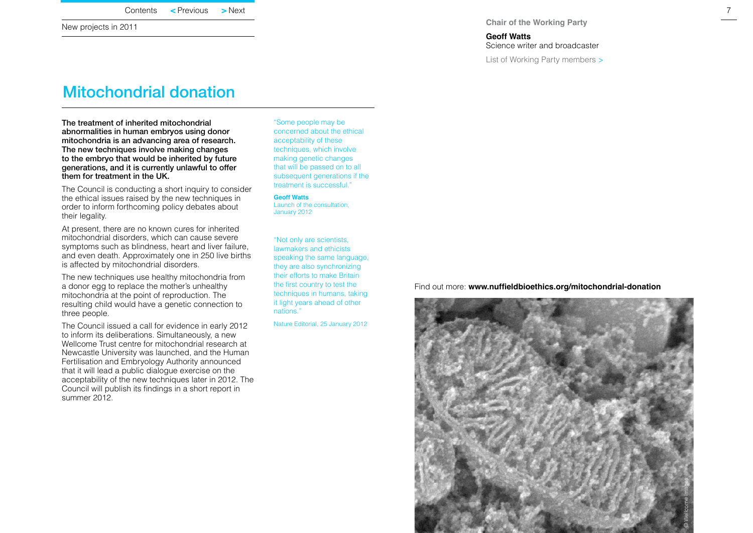<span id="page-7-0"></span>New projects in 2011

**Chair of the Working Party**

**Geoff Watts** Science writer and broadcaster

[List of Working Party members](http://www.nuffieldbioethics.org/mitochondrial-donation/mitochondrial-donation-about-working-group) >

### Mitochondrial donation

The treatment of inherited mitochondrial abnormalities in human embryos using donor mitochondria is an advancing area of research. The new techniques involve making changes to the embryo that would be inherited by future generations, and it is currently unlawful to offer them for treatment in the UK.

The Council is conducting a short inquiry to consider the ethical issues raised by the new techniques in order to inform forthcoming policy debates about their legality.

At present, there are no known cures for inherited mitochondrial disorders, which can cause severe symptoms such as blindness, heart and liver failure, and even death. Approximately one in 250 live births is affected by mitochondrial disorders.

The new techniques use healthy mitochondria from a donor egg to replace the mother's unhealthy mitochondria at the point of reproduction. The resulting child would have a genetic connection to three people.

The Council issued a call for evidence in early 2012 to inform its deliberations. Simultaneously, a new Wellcome Trust centre for mitochondrial research at Newcastle University was launched, and the Human Fertilisation and Embryology Authority announced that it will lead a public dialogue exercise on the acceptability of the new techniques later in 2012. The Council will publish its findings in a short report in summer 2012.

"Some people may be concerned about the ethical acceptability of these techniques, which involve making genetic changes that will be passed on to all subsequent generations if the treatment is successful."

**Geoff Watts** Launch of the consultation, January 2012

"Not only are scientists, lawmakers and ethicists speaking the same language, they are also synchronizing their efforts to make Britain the first country to test the techniques in humans, taking it light years ahead of other nations."

Nature Editorial, 25 January 2012

Find out more: **[www.nuffieldbioethics.org/mitochondrial-donation](http://www.nuffieldbioethics.org/mitochondrial-donation)** 

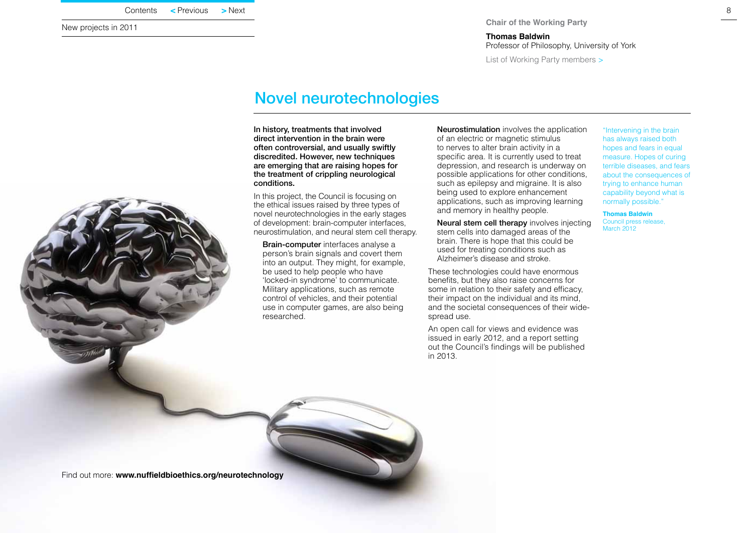| $>$ Next |
|----------|
|          |

<span id="page-8-0"></span>New projects in 2011

#### **Chair of the Working Party**

**Thomas Baldwin**  Professor of Philosophy, University of York

[List of Working Party members](http://www.nuffieldbioethics.org/neurotechnology/neurotechnology-about-working-party) >

### Novel neurotechnologies

In history, treatments that involved direct intervention in the brain were often controversial, and usually swiftly discredited. However, new techniques are emerging that are raising hopes for the treatment of crippling neurological conditions.

In this project, the Council is focusing on the ethical issues raised by three types of novel neurotechnologies in the early stages of development: brain-computer interfaces, neurostimulation, and neural stem cell therapy.

 Brain-computer interfaces analyse a person's brain signals and covert them into an output. They might, for example, be used to help people who have 'locked-in syndrome' to communicate. Military applications, such as remote control of vehicles, and their potential use in computer games, are also being researched.

 Neurostimulation involves the application of an electric or magnetic stimulus to nerves to alter brain activity in a specific area. It is currently used to treat depression, and research is underway on possible applications for other conditions, such as epilepsy and migraine. It is also being used to explore enhancement applications, such as improving learning and memory in healthy people.

Neural stem cell therapy involves injecting stem cells into damaged areas of the brain. There is hope that this could be used for treating conditions such as Alzheimer's disease and stroke.

These technologies could have enormous benefits, but they also raise concerns for some in relation to their safety and efficacy, their impact on the individual and its mind, and the societal consequences of their widespread use.

An open call for views and evidence was issued in early 2012, and a report setting out the Council's findings will be published in 2013.

"Intervening in the brain has always raised both hopes and fears in equal measure. Hopes of curing terrible diseases, and fears about the consequences of trying to enhance human capability beyond what is normally possible."

### **Thomas Baldwin**

Council press release, March 2012



Find out more: **[www.nuffieldbioethics.org/neurotechnology](http://www.nuffieldbioethics.org/neurotechnology)**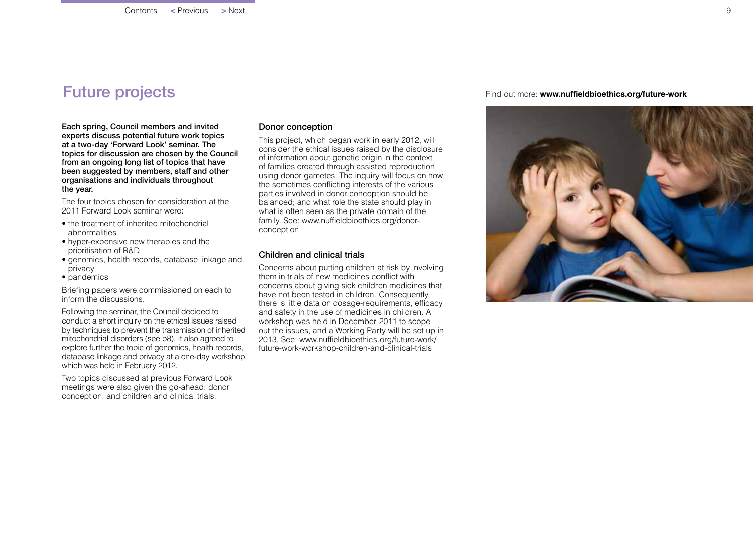### <span id="page-9-0"></span>Future projects

Each spring, Council members and invited experts discuss potential future work topics at a two-day 'Forward Look' seminar. The topics for discussion are chosen by the Council from an ongoing long list of topics that have been suggested by members, staff and other organisations and individuals throughout the year.

The four topics chosen for consideration at the 2011 Forward Look seminar were:

- the treatment of inherited mitochondrial abnormalities
- hyper-expensive new therapies and the prioritisation of R&D
- genomics, health records, database linkage and privacy
- pandemics

[Briefing papers](http://www.nuffieldbioethics.org/future-work/future-work-forward-look-meetings) were commissioned on each to inform the discussions.

Following the seminar, the Council decided to conduct a short inquiry on the ethical issues raised by techniques to prevent the transmission of inherited [mitochondrial disorders \(see p8\)](#page-8-0). It also agreed to explore further the topic of genomics, health records, database linkage and privacy at a one-day workshop, which was held in February 2012.

Two topics discussed at previous Forward Look meetings were also given the go-ahead: donor conception, and children and clinical trials.

### Donor conception

This project, which began work in early 2012, will consider the ethical issues raised by the disclosure of information about genetic origin in the context of families created through assisted reproduction using donor gametes. The inquiry will focus on how the sometimes conflicting interests of the various parties involved in donor conception should be balanced; and what role the state should play in what is often seen as the private domain of the family. See: [www.nuffieldbioethics.org/donor](http://www.nuffieldbioethics.org/donor-conception)[conception](http://www.nuffieldbioethics.org/donor-conception)

### Children and clinical trials

Concerns about putting children at risk by involving them in trials of new medicines conflict with concerns about giving sick children medicines that have not been tested in children. Consequently, there is little data on dosage-requirements, efficacy and safety in the use of medicines in children. A workshop was held in December 2011 to scope out the issues, and a Working Party will be set up in 2013. See: [www.nuffieldbioethics.org/future-work/](http://www.nuffieldbioethics.org/future-work/future-work-workshop-children-and-clinical-trials ) [future-work-workshop-children-and-clinical-trials](http://www.nuffieldbioethics.org/future-work/future-work-workshop-children-and-clinical-trials )

Find out more: **[www.nuffieldbioethics.org/future-work](http://www.nuffieldbioethics.org/future-work )** 

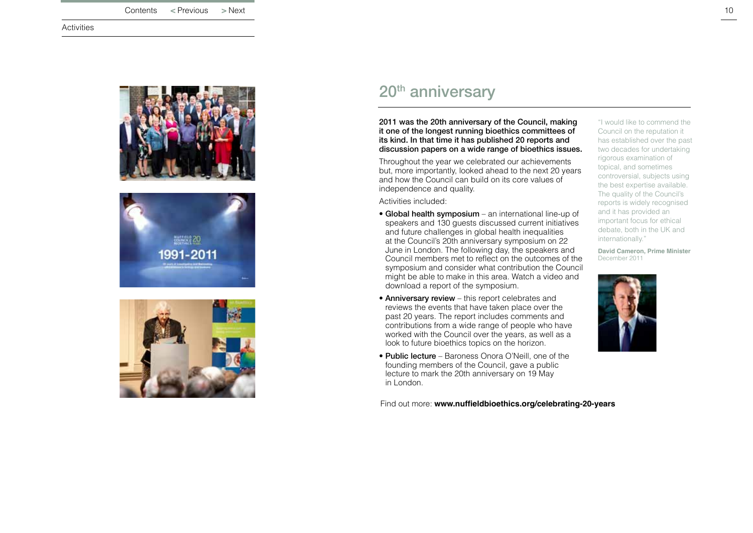<span id="page-10-0"></span>**Activities** 







# 20<sup>th</sup> anniversary

2011 was the 20th anniversary of the Council, making it one of the longest running bioethics committees of its kind. In that time it has published 20 reports and discussion papers on a wide range of bioethics issues.

Throughout the year we celebrated our achievements but, more importantly, looked ahead to the next 20 years and how the Council can build on its core values of independence and quality.

Activities included:

- Global health symposium an international line-up of speakers and 130 guests discussed current initiatives and future challenges in global health inequalities at the Council's 20th anniversary symposium on 22 June in London. The following day, the speakers and Council members met to reflect on the outcomes of the symposium and consider what contribution the Council might be able to make in this area. [Watch a video and](http://www.nuffieldbioethics.org/international/international-global-health-symposium)  [download a report of the symposium.](http://www.nuffieldbioethics.org/international/international-global-health-symposium)
- Anniversary review this report celebrates and reviews the events that have taken place over the past 20 years. The report includes comments and contributions from a wide range of people who have worked with the Council over the years, as well as a look to future bioethics topics on the horizon.
- Public lecture Baroness Onora O'Neill, one of the founding members of the Council, gave a public lecture to mark the 20th anniversary on 19 May in London.

Find out more: **[www.nuffieldbioethics.org/celebrating-20-years](http://www.nuffieldbioethics.org/celebrating-20-years   )** 

"I would like to commend the Council on the reputation it has established over the past two decades for undertaking rigorous examination of topical, and sometimes controversial, subjects using the best expertise available. The quality of the Council's reports is widely recognised and it has provided an important focus for ethical debate, both in the UK and internationally."

**David Cameron, Prime Minister** December 2011

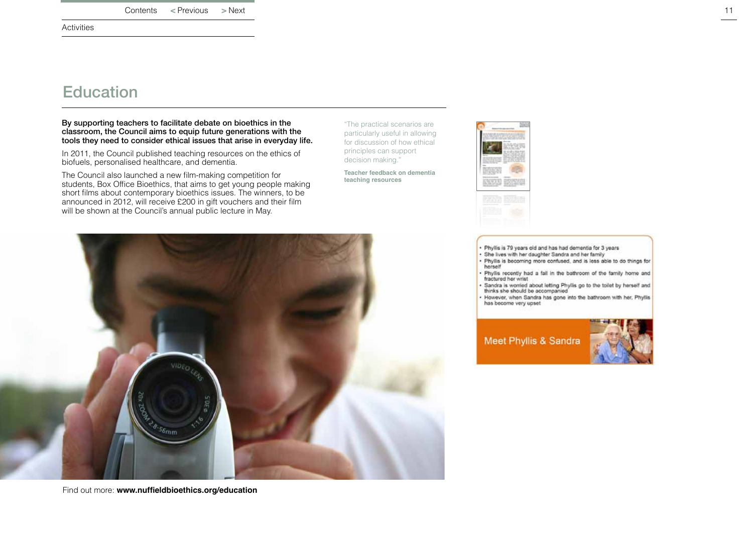<span id="page-11-0"></span>Activities

### **Education**

#### By supporting teachers to facilitate debate on bioethics in the classroom, the Council aims to equip future generations with the tools they need to consider ethical issues that arise in everyday life.

In 2011, the Council published teaching resources on the ethics of biofuels, personalised healthcare, and dementia.

The Council also launched a new film-making competition for students, Box Office Bioethics, that aims to get young people making short films about contemporary bioethics issues. The winners, to be announced in 2012, will receive £200 in gift vouchers and their film will be shown at the Council's annual public lecture in May.

"The practical scenarios are particularly useful in allowing for discussion of how ethical principles can support decision making."

**Teacher feedback on dementia teaching resources** 



herself

fractured her wrist



Find out more: **[www.nuffieldbioethics.org/education](http://www.nuffieldbioethics.org/education)** 

Sandra is worried about letting Phyllis go to the toilet by herself and thinks she should be accompanied However, when Sandra has gone into the bathroom with her, Phyllis has become very upset

. Phyllis is becoming more confused, and is less able to do things for

. Phyllis recently had a fall in the bathroom of the family home and

· Phyllis is 79 years old and has had dementia for 3 years · She lives with her daughter Sandra and her family

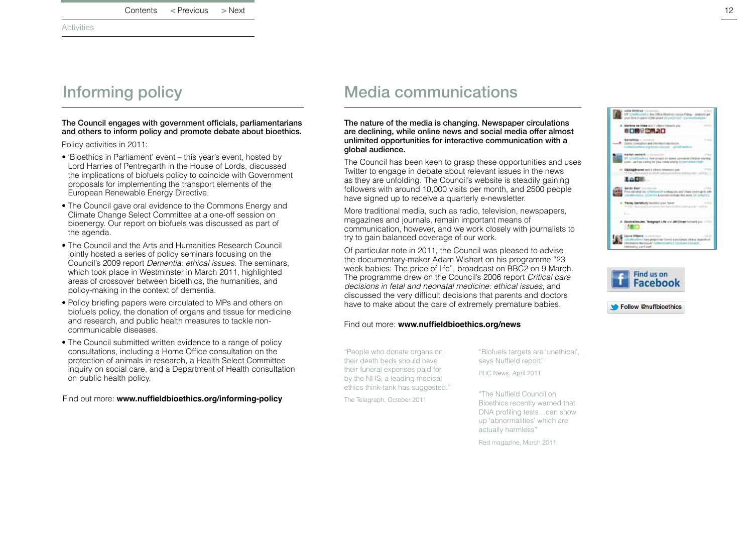<span id="page-12-0"></span>**Activities** 

### The Council engages with government officials, parliamentarians and others to inform policy and promote debate about bioethics.

Policy activities in 2011:

- 'Bioethics in Parliament' event this year's event, hosted by Lord Harries of Pentregarth in the House of Lords, discussed the implications of biofuels policy to coincide with Government proposals for implementing the transport elements of the European Renewable Energy Directive.
- The Council gave oral evidence to the Commons Energy and Climate Change Select Committee at a one-off session on bioenergy. Our report on biofuels was discussed as part of the agenda.
- The Council and the Arts and Humanities Research Council jointly hosted a [series of policy seminars](http://www.nuffieldbioethics.org/news/council-and-ahrc-host-dementia-policy-seminars) focusing on the Council's 2009 report *Dementia: ethical issues*. The seminars, which took place in Westminster in March 2011, highlighted areas of crossover between bioethics, the humanities, and policy-making in the context of dementia.
- Policy briefing papers were circulated to MPs and others on biofuels policy, the donation of organs and tissue for medicine and research, and public health measures to tackle noncommunicable diseases.
- The Council submitted written evidence to a range of policy consultations, including a Home Office consultation on the protection of animals in research, a Health Select Committee inquiry on social care, and a Department of Health consultation on public health policy.

Find out more: **[www.nuffieldbioethics.org/informing-policy](http://www.nuffieldbioethics.org/informing-policy )** 

## Informing policy Media communications

The nature of the media is changing. Newspaper circulations are declining, while online news and social media offer almost unlimited opportunities for interactive communication with a global audience.

The Council has been keen to grasp these opportunities and uses Twitter to engage in debate about relevant issues in the news as they are unfolding. The Council's website is steadily gaining followers with around 10,000 visits per month, and 2500 people have signed up to receive a quarterly e-newsletter.

More traditional media, such as radio, television, newspapers, magazines and journals, remain important means of communication, however, and we work closely with journalists to try to gain balanced coverage of our work.

Of particular note in 2011, the Council was pleased to advise the documentary-maker Adam Wishart on his programme ["23](http://www.bbc.co.uk/programmes/b00zf9vg)  [week babies: The price of life"](http://www.bbc.co.uk/programmes/b00zf9vg), broadcast on BBC2 on 9 March. The programme drew on the Council's 2006 report *Critical care decisions in fetal and neonatal medicine: ethical issues*, and discussed the very difficult decisions that parents and doctors have to make about the care of extremely premature babies.

### Find out more: **[www.nuffieldbioethics.org/news](http://www.nuffieldbioethics.org/news)**

"People who donate organs on their death beds should have their funeral expenses paid for by the NHS, a leading medical ethics think-tank has suggested."

The Telegraph, October 2011

"Biofuels targets are 'unethical', says Nuffield report" BBC News, April 2011

"The Nuffield Council on Bioethics recently warned that DNA profiling tests…can show up 'abnormalities' which are actually harmless"

Red magazine, March 2011



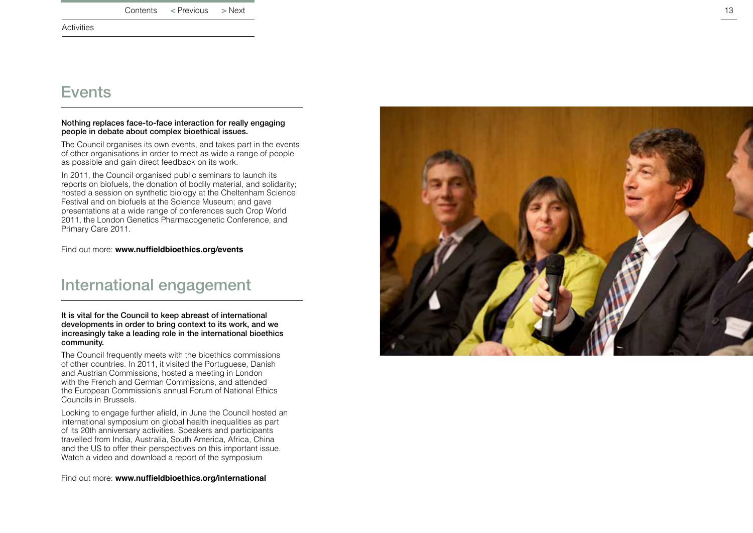<span id="page-13-0"></span>**Activities** 

### Events

#### Nothing replaces face-to-face interaction for really engaging people in debate about complex bioethical issues.

The Council organises its own events, and takes part in the events of other organisations in order to meet as wide a range of people as possible and gain direct feedback on its work.

In 2011, the Council organised public seminars to launch its reports on biofuels, the donation of bodily material, and solidarity; hosted a session on synthetic biology at the Cheltenham Science Festival and on biofuels at the Science Museum; and gave presentations at a wide range of conferences such Crop World 2011, the London Genetics Pharmacogenetic Conference, and Primary Care 2011.

Find out more: **[www.nuffieldbioethics.org/events](http://www.nuffieldbioethics.org/events)**

### International engagement

It is vital for the Council to keep abreast of international developments in order to bring context to its work, and we increasingly take a leading role in the international bioethics community.

The Council frequently meets with the bioethics commissions of other countries. In 2011, it visited the Portuguese, Danish and Austrian Commissions, hosted a meeting in London with the French and German Commissions, and attended the European Commission's annual Forum of National Ethics Councils in Brussels.

Looking to engage further afield, in June the Council hosted an international symposium on global health inequalities as part of its 20th anniversary activities. Speakers and participants travelled from India, Australia, South America, Africa, China and the US to offer their perspectives on this important issue. [Watch a video and download a report of the symposium](http://www.nuffieldbioethics.org/international/international-global-health-symposium)

Find out more: **[www.nuffieldbioethics.org/international](http://www.nuffieldbioethics.org/international )** 

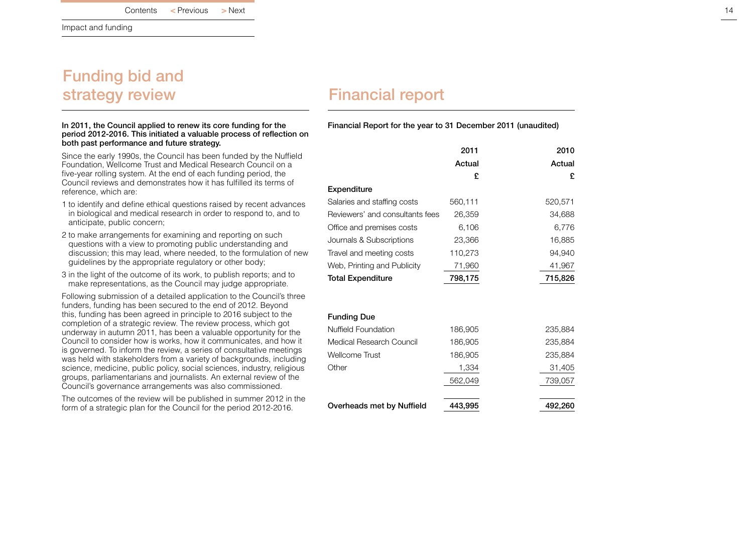<span id="page-14-0"></span>Impact and funding

## Funding bid and strategy review **Financial report**

#### In 2011, the Council applied to renew its core funding for the period 2012-2016. This initiated a valuable process of reflection on both past performance and future strategy.

Since the early 1990s, the Council has been funded by the Nuffield Foundation, Wellcome Trust and Medical Research Council on a five-year rolling system. At the end of each funding period, the Council reviews and demonstrates how it has fulfilled its terms of reference, which are:

- 1 to identify and define ethical questions raised by recent advances in biological and medical research in order to respond to, and to anticipate, public concern;
- 2 to make arrangements for examining and reporting on such questions with a view to promoting public understanding and discussion; this may lead, where needed, to the formulation of new guidelines by the appropriate regulatory or other body;
- 3 in the light of the outcome of its work, to publish reports; and to make representations, as the Council may judge appropriate.

Following submission of a detailed application to the Council's three funders, funding has been secured to the end of 2012. Beyond this, funding has been agreed in principle to 2016 subject to the completion of a strategic review. The review process, which got underway in autumn 2011, has been a valuable opportunity for the Council to consider how is works, how it communicates, and how it is governed. To inform the review, a series of consultative meetings was held with stakeholders from a variety of backgrounds, including science, medicine, public policy, social sciences, industry, religious groups, parliamentarians and journalists. An external review of the Council's governance arrangements was also commissioned.

The outcomes of the review will be published in summer 2012 in the form of a strategic plan for the Council for the period 2012-2016.

Financial Report for the year to 31 December 2011 (unaudited)

|                                 | 2011<br>Actual<br>£ | 2010<br>Actual<br>£ |
|---------------------------------|---------------------|---------------------|
| Expenditure                     |                     |                     |
| Salaries and staffing costs     | 560,111             | 520,571             |
| Reviewers' and consultants fees | 26,359              | 34,688              |
| Office and premises costs       | 6,106               | 6,776               |
| Journals & Subscriptions        | 23,366              | 16,885              |
| Travel and meeting costs        | 110,273             | 94,940              |
| Web, Printing and Publicity     | 71,960              | 41,967              |
| <b>Total Expenditure</b>        | 798,175             | 715,826             |
| <b>Funding Due</b>              |                     |                     |
| Nuffield Foundation             | 186,905             | 235,884             |
| Medical Research Council        | 186,905             | 235,884             |
| <b>Wellcome Trust</b>           | 186,905             | 235,884             |
| Other                           | 1,334               | 31,405              |
|                                 | 562,049             | 739,057             |
| Overheads met by Nuffield       | 443.995             | 492,260             |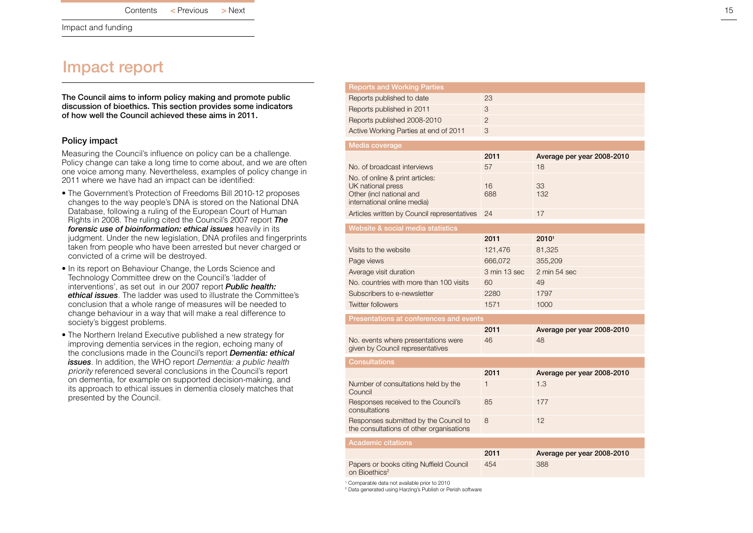<span id="page-15-0"></span>Impact and funding

### Impact report

The Council aims to inform policy making and promote public discussion of bioethics. This section provides some indicators of how well the Council achieved these aims in 2011.

### Policy impact

Measuring the Council's influence on policy can be a challenge. Policy change can take a long time to come about, and we are often one voice among many. Nevertheless, examples of policy change in 2011 where we have had an impact can be identified:

- The Government's [Protection of Freedoms Bill 2010-12](http://www.nuffieldbioethics.org/news/proposed-dna-database-changes-line-council-report) proposes changes to the way people's DNA is stored on the National DNA Database, following a ruling of the European Court of Human Rights in 2008. The ruling cited the Council's 2007 report *The forensic use of bioinformation: ethical issues* heavily in its judgment. Under the new legislation, DNA profiles and fingerprints taken from people who have been arrested but never charged or convicted of a crime will be destroyed.
- In its report on [Behaviour Change,](http://www.publications.parliament.uk/pa/ld201012/ldselect/ldsctech/179/179.pdf) the Lords Science and Technology Committee drew on the Council's 'ladder of interventions', as set out in our 2007 report *Public health: ethical issues*. The ladder was used to illustrate the Committee's conclusion that a whole range of measures will be needed to change behaviour in a way that will make a real difference to society's biggest problems.
- The Northern Ireland Executive published a [new strategy](http://www.nuffieldbioethics.org/news/northern-ireland-dementia-strategy-echoes-council-conclusions) for improving dementia services in the region, echoing many of the conclusions made in the Council's report *Dementia: ethical issues*. In addition, the WHO report *Dementia: a public health priority* referenced several conclusions in the Council's report on dementia, for example on supported decision-making, and its approach to ethical issues in dementia closely matches that presented by the Council.

| <b>Reports and Working Parties</b>                                                |                |                                 |  |  |
|-----------------------------------------------------------------------------------|----------------|---------------------------------|--|--|
| Reports published to date                                                         | 23             |                                 |  |  |
| Reports published in 2011                                                         | 3              |                                 |  |  |
| Reports published 2008-2010                                                       | $\overline{2}$ |                                 |  |  |
| Active Working Parties at end of 2011                                             | 3              |                                 |  |  |
| Media coverage                                                                    |                |                                 |  |  |
|                                                                                   | 2011           | Average per year 2008-2010      |  |  |
| No. of broadcast interviews                                                       | 57             | 18                              |  |  |
| No, of online & print articles:                                                   |                |                                 |  |  |
| UK national press                                                                 | 16             | 33                              |  |  |
| Other (incl national and<br>international online media)                           | 688            | 132                             |  |  |
|                                                                                   |                | 17                              |  |  |
| Articles written by Council representatives                                       | 24             |                                 |  |  |
| Website & social media statistics                                                 |                |                                 |  |  |
|                                                                                   | 2011           | 20101                           |  |  |
| Visits to the website                                                             | 121,476        | 81,325                          |  |  |
| Page views                                                                        | 666,072        | 355,209                         |  |  |
| Average visit duration                                                            | 3 min 13 sec   | $2 \text{ min } 54 \text{ sec}$ |  |  |
| No. countries with more than 100 visits                                           | 60             | 49                              |  |  |
| Subscribers to e-newsletter                                                       | 2280           | 1797                            |  |  |
| <b>Twitter followers</b>                                                          | 1571           | 1000                            |  |  |
| Presentations at conferences and events                                           |                |                                 |  |  |
|                                                                                   | 2011           | Average per year 2008-2010      |  |  |
| No. events where presentations were                                               | 46             | 48                              |  |  |
| given by Council representatives                                                  |                |                                 |  |  |
| <b>Consultations</b>                                                              |                |                                 |  |  |
|                                                                                   | 2011           | Average per year 2008-2010      |  |  |
| Number of consultations held by the<br>Council                                    | 1              | 1.3                             |  |  |
| Responses received to the Council's<br>consultations                              | 85             | 177                             |  |  |
| Responses submitted by the Council to<br>the consultations of other organisations | 8              | 12                              |  |  |
| <b>Academic citations</b>                                                         |                |                                 |  |  |
|                                                                                   | 2011           | Average per year 2008-2010      |  |  |
| Papers or books citing Nuffield Council<br>on Bioethics <sup>2</sup>              | 454            | 388                             |  |  |
|                                                                                   |                |                                 |  |  |

1 Comparable data not available prior to 2010

2 Data generated using Harzing's Publish or Perish software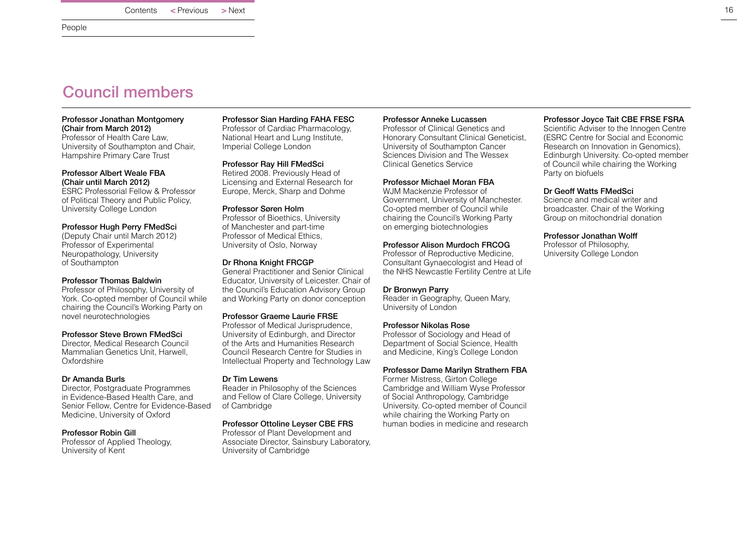<span id="page-16-0"></span>People

### Council members

#### Professor Jonathan Montgomery (Chair from March 2012)

Professor of Health Care Law, University of Southampton and Chair, Hampshire Primary Care Trust

#### Professor Albert Weale FBA (Chair until March 2012)

ESRC Professorial Fellow & Professor of Political Theory and Public Policy, University College London

### Professor Hugh Perry FMedSci

(Deputy Chair until March 2012) Professor of Experimental Neuropathology, University of Southampton

### Professor Thomas Baldwin

Professor of Philosophy, University of York. Co-opted member of Council while chairing the Council's Working Party on novel neurotechnologies

### Professor Steve Brown FMedSci

Director, Medical Research Council Mammalian Genetics Unit, Harwell, **Oxfordshire** 

### Dr Amanda Burls

Director, Postgraduate Programmes in Evidence-Based Health Care, and Senior Fellow, Centre for Evidence-Based Medicine, University of Oxford

### Professor Robin Gill

Professor of Applied Theology, University of Kent

Professor Sian Harding FAHA FESC Professor of Cardiac Pharmacology, National Heart and Lung Institute, Imperial College London

Professor Ray Hill FMedSci Retired 2008. Previously Head of Licensing and External Research for Europe, Merck, Sharp and Dohme

### Professor Søren Holm

Professor of Bioethics, University of Manchester and part-time Professor of Medical Ethics, University of Oslo, Norway

#### Dr Rhona Knight FRCGP

General Practitioner and Senior Clinical Educator, University of Leicester. Chair of the Council's Education Advisory Group and Working Party on donor conception

### Professor Graeme Laurie FRSE

Professor of Medical Jurisprudence, University of Edinburgh, and Director of the Arts and Humanities Research Council Research Centre for Studies in Intellectual Property and Technology Law

### Dr Tim Lewens

Reader in Philosophy of the Sciences and Fellow of Clare College, University of Cambridge

### Professor Ottoline Leyser CBE FRS

Professor of Plant Development and Associate Director, Sainsbury Laboratory, University of Cambridge

#### Professor Anneke Lucassen

Professor of Clinical Genetics and Honorary Consultant Clinical Geneticist, University of Southampton Cancer Sciences Division and The Wessex Clinical Genetics Service

#### Professor Michael Moran FBA

WJM Mackenzie Professor of Government, University of Manchester. Co-opted member of Council while chairing the Council's Working Party on emerging biotechnologies

### Professor Alison Murdoch FRCOG

Professor of Reproductive Medicine, Consultant Gynaecologist and Head of the NHS Newcastle Fertility Centre at Life

### Dr Bronwyn Parry

Reader in Geography, Queen Mary, University of London

### Professor Nikolas Rose

Professor of Sociology and Head of Department of Social Science, Health and Medicine, King's College London

### Professor Dame Marilyn Strathern FBA

Former Mistress, Girton College Cambridge and William Wyse Professor of Social Anthropology, Cambridge University. Co-opted member of Council while chairing the Working Party on human bodies in medicine and research

### Professor Joyce Tait CBE FRSE FSRA

Scientific Adviser to the Innogen Centre (ESRC Centre for Social and Economic Research on Innovation in Genomics), Edinburgh University. Co-opted member of Council while chairing the Working Party on biofuels

### Dr Geoff Watts FMedSci

Science and medical writer and broadcaster. Chair of the Working Group on mitochondrial donation

#### Professor Jonathan Wolff

Professor of Philosophy, University College London